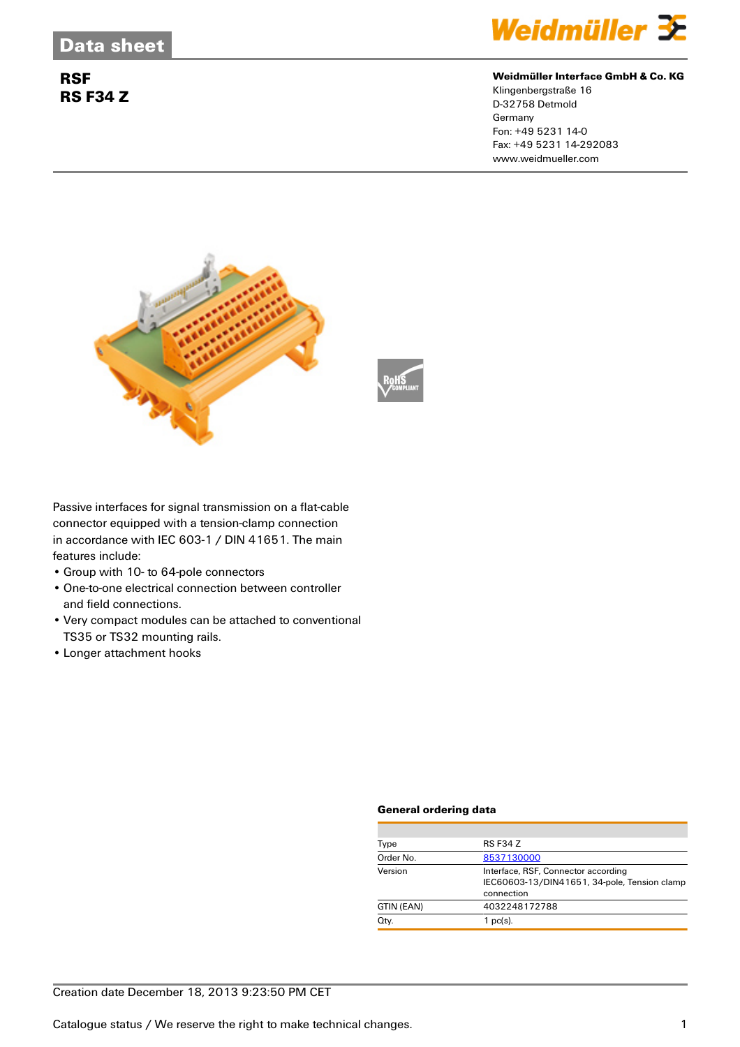## **RSF RS F34 Z**



#### **Weidmüller Interface GmbH & Co. KG**

Klingenbergstraße 16 D-32758 Detmold Germany Fon: +49 5231 14-0 Fax: +49 5231 14-292083 www.weidmueller.com





Passive interfaces for signal transmission on a flat-cable connector equipped with a tension-clamp connection in accordance with IEC 603-1 / DIN 41651. The main features include:

- Group with 10- to 64-pole connectors
- One-to-one electrical connection between controller and field connections.
- Very compact modules can be attached to conventional TS35 or TS32 mounting rails.
- Longer attachment hooks

### **General ordering data**

| Type       | <b>RS F34 Z</b>                                                                                   |  |  |
|------------|---------------------------------------------------------------------------------------------------|--|--|
| Order No.  | 8537130000                                                                                        |  |  |
| Version    | Interface, RSF, Connector according<br>IEC60603-13/DIN41651, 34-pole, Tension clamp<br>connection |  |  |
| GTIN (EAN) | 4032248172788                                                                                     |  |  |
| Qty.       | $1$ pc(s).                                                                                        |  |  |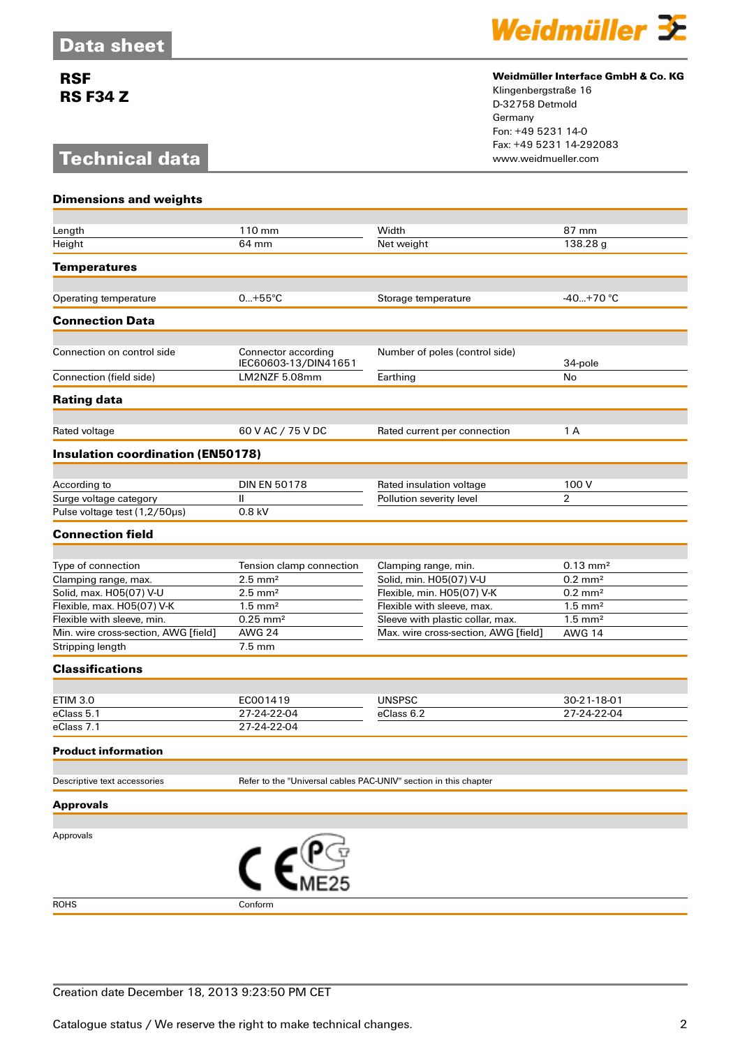## **RSF RS F34 Z**

# **Technical data**



### **Weidmüller Interface GmbH & Co. KG**

Klingenbergstraße 16 D-32758 Detmold Germany Fon: +49 5231 14-0 Fax: +49 5231 14-292083

| <b>Dimensions and weights</b>            |                                                                  |                                      |                       |  |
|------------------------------------------|------------------------------------------------------------------|--------------------------------------|-----------------------|--|
|                                          |                                                                  |                                      |                       |  |
| Length                                   | 110 mm                                                           | Width                                | 87 mm                 |  |
| Height                                   | 64 mm                                                            | Net weight                           | 138.28 g              |  |
| <b>Temperatures</b>                      |                                                                  |                                      |                       |  |
| Operating temperature                    | $0+55^{\circ}C$                                                  | Storage temperature                  | $-40+70$ °C           |  |
|                                          |                                                                  |                                      |                       |  |
| <b>Connection Data</b>                   |                                                                  |                                      |                       |  |
| Connection on control side               | Connector according<br>IEC60603-13/DIN41651                      | Number of poles (control side)       | 34-pole               |  |
| Connection (field side)                  | LM2NZF 5.08mm                                                    | Earthing                             | No                    |  |
| <b>Rating data</b>                       |                                                                  |                                      |                       |  |
| Rated voltage                            | 60 V AC / 75 V DC                                                | Rated current per connection         | 1 A                   |  |
| <b>Insulation coordination (EN50178)</b> |                                                                  |                                      |                       |  |
|                                          |                                                                  |                                      |                       |  |
| According to                             | <b>DIN EN 50178</b>                                              | Rated insulation voltage             | 100 V                 |  |
| Surge voltage category                   | $\mathbf{II}$                                                    | Pollution severity level             | $\overline{2}$        |  |
| Pulse voltage test (1,2/50µs)            | 0.8 kV                                                           |                                      |                       |  |
| <b>Connection field</b>                  |                                                                  |                                      |                       |  |
| Type of connection                       | Tension clamp connection                                         | Clamping range, min.                 | $0.13 \text{ mm}^2$   |  |
| Clamping range, max.                     | $2.5$ mm <sup>2</sup>                                            | Solid, min. H05(07) V-U              | $0.2 \text{ mm}^2$    |  |
| Solid, max. H05(07) V-U                  | $2.5$ mm <sup>2</sup>                                            | Flexible, min. H05(07) V-K           | $0.2 \text{ mm}^2$    |  |
| Flexible, max. H05(07) V-K               | $1.5$ mm <sup>2</sup>                                            | Flexible with sleeve, max.           | $1.5 \text{ mm}^2$    |  |
| Flexible with sleeve, min.               | $0.25$ mm <sup>2</sup>                                           | Sleeve with plastic collar, max.     | $1.5$ mm <sup>2</sup> |  |
| Min. wire cross-section, AWG [field]     | <b>AWG 24</b>                                                    | Max. wire cross-section, AWG [field] | <b>AWG 14</b>         |  |
| Stripping length                         | $7.5 \text{ mm}$                                                 |                                      |                       |  |
| <b>Classifications</b>                   |                                                                  |                                      |                       |  |
|                                          |                                                                  |                                      |                       |  |
| <b>ETIM 3.0</b>                          | EC001419                                                         | <b>UNSPSC</b>                        | 30-21-18-01           |  |
| eClass 5.1                               | 27-24-22-04                                                      | eClass 6.2                           | 27-24-22-04           |  |
| eClass 7.1                               | 27-24-22-04                                                      |                                      |                       |  |
| Product information                      |                                                                  |                                      |                       |  |
| Descriptive text accessories             | Refer to the "Universal cables PAC-UNIV" section in this chapter |                                      |                       |  |
| <b>Approvals</b>                         |                                                                  |                                      |                       |  |
|                                          |                                                                  |                                      |                       |  |
| Approvals                                | $\epsilon^{\text{user}}$                                         |                                      |                       |  |
| <b>ROHS</b>                              | Conform                                                          |                                      |                       |  |
|                                          |                                                                  |                                      |                       |  |

Creation date December 18, 2013 9:23:50 PM CET